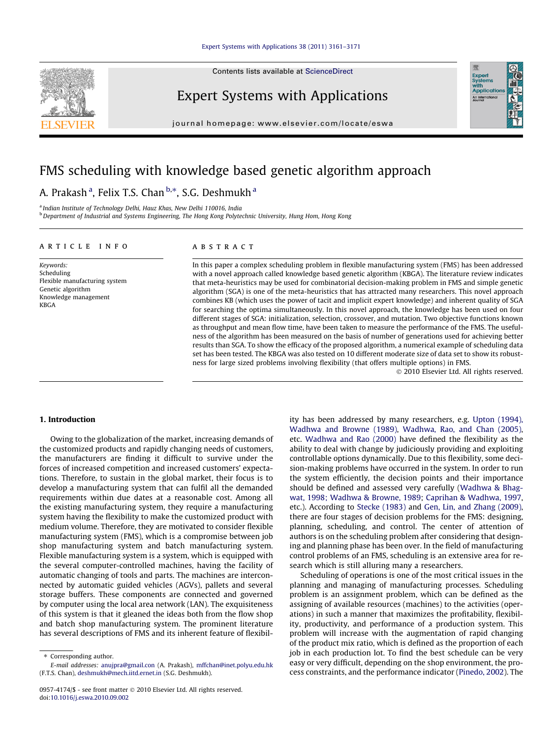Contents lists available at [ScienceDirect](http://www.sciencedirect.com/science/journal/09574174)





# Expert Systems with Applications

journal homepage: [www.elsevier.com/locate/eswa](http://www.elsevier.com/locate/eswa)

## FMS scheduling with knowledge based genetic algorithm approach

### A. Prakash <sup>a</sup>, Felix T.S. Chan <sup>b,</sup>\*, S.G. Deshmukh <sup>a</sup>

<sup>a</sup> Indian Institute of Technology Delhi, Hauz Khas, New Delhi 110016, India

<sup>b</sup> Department of Industrial and Systems Engineering, The Hong Kong Polytechnic University, Hung Hom, Hong Kong

#### article info

Keywords: Scheduling Flexible manufacturing system Genetic algorithm Knowledge management KBGA

#### **ABSTRACT**

In this paper a complex scheduling problem in flexible manufacturing system (FMS) has been addressed with a novel approach called knowledge based genetic algorithm (KBGA). The literature review indicates that meta-heuristics may be used for combinatorial decision-making problem in FMS and simple genetic algorithm (SGA) is one of the meta-heuristics that has attracted many researchers. This novel approach combines KB (which uses the power of tacit and implicit expert knowledge) and inherent quality of SGA for searching the optima simultaneously. In this novel approach, the knowledge has been used on four different stages of SGA: initialization, selection, crossover, and mutation. Two objective functions known as throughput and mean flow time, have been taken to measure the performance of the FMS. The usefulness of the algorithm has been measured on the basis of number of generations used for achieving better results than SGA. To show the efficacy of the proposed algorithm, a numerical example of scheduling data set has been tested. The KBGA was also tested on 10 different moderate size of data set to show its robustness for large sized problems involving flexibility (that offers multiple options) in FMS.

- 2010 Elsevier Ltd. All rights reserved.

#### 1. Introduction

Owing to the globalization of the market, increasing demands of the customized products and rapidly changing needs of customers, the manufacturers are finding it difficult to survive under the forces of increased competition and increased customers' expectations. Therefore, to sustain in the global market, their focus is to develop a manufacturing system that can fulfil all the demanded requirements within due dates at a reasonable cost. Among all the existing manufacturing system, they require a manufacturing system having the flexibility to make the customized product with medium volume. Therefore, they are motivated to consider flexible manufacturing system (FMS), which is a compromise between job shop manufacturing system and batch manufacturing system. Flexible manufacturing system is a system, which is equipped with the several computer-controlled machines, having the facility of automatic changing of tools and parts. The machines are interconnected by automatic guided vehicles (AGVs), pallets and several storage buffers. These components are connected and governed by computer using the local area network (LAN). The exquisiteness of this system is that it gleaned the ideas both from the flow shop and batch shop manufacturing system. The prominent literature has several descriptions of FMS and its inherent feature of flexibility has been addressed by many researchers, e.g. [Upton \(1994\),](#page--1-0) [Wadhwa and Browne \(1989\),](#page--1-0) [Wadhwa, Rao, and Chan \(2005\),](#page--1-0) etc. [Wadhwa and Rao \(2000\)](#page--1-0) have defined the flexibility as the ability to deal with change by judiciously providing and exploiting controllable options dynamically. Due to this flexibility, some decision-making problems have occurred in the system. In order to run the system efficiently, the decision points and their importance should be defined and assessed very carefully ([Wadhwa & Bhag](#page--1-0)[wat, 1998; Wadhwa & Browne, 1989;](#page--1-0) [Caprihan & Wadhwa, 1997,](#page--1-0) etc.). According to [Stecke \(1983\)](#page--1-0) and [Gen, Lin, and Zhang \(2009\),](#page--1-0) there are four stages of decision problems for the FMS: designing, planning, scheduling, and control. The center of attention of authors is on the scheduling problem after considering that designing and planning phase has been over. In the field of manufacturing control problems of an FMS, scheduling is an extensive area for research which is still alluring many a researchers.

Scheduling of operations is one of the most critical issues in the planning and managing of manufacturing processes. Scheduling problem is an assignment problem, which can be defined as the assigning of available resources (machines) to the activities (operations) in such a manner that maximizes the profitability, flexibility, productivity, and performance of a production system. This problem will increase with the augmentation of rapid changing of the product mix ratio, which is defined as the proportion of each job in each production lot. To find the best schedule can be very easy or very difficult, depending on the shop environment, the process constraints, and the performance indicator ([Pinedo, 2002\)](#page--1-0). The

<sup>⇑</sup> Corresponding author.

E-mail addresses: [anujpra@gmail.con](mailto:anujpra@gmail.con) (A. Prakash), [mffchan@inet.polyu.edu.hk](mailto:mffchan@inet.polyu.edu.hk) (F.T.S. Chan), [deshmukh@mech.iitd.ernet.in](mailto:deshmukh@mech.iitd.ernet.in) (S.G. Deshmukh).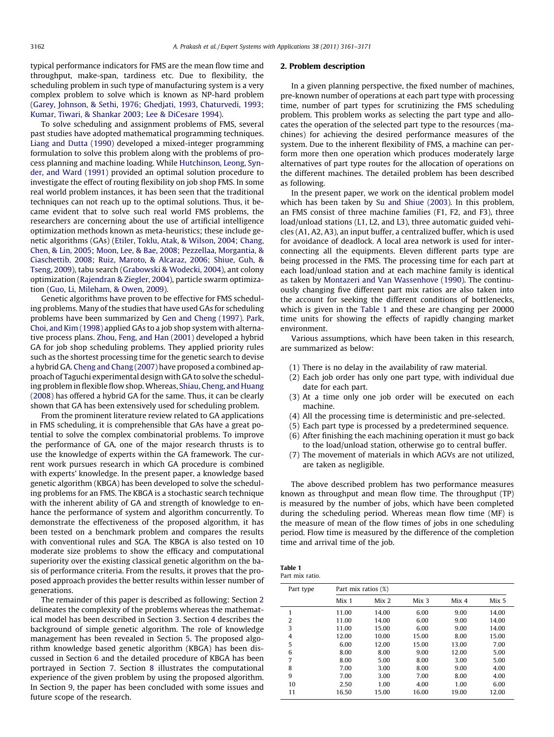typical performance indicators for FMS are the mean flow time and throughput, make-span, tardiness etc. Due to flexibility, the scheduling problem in such type of manufacturing system is a very complex problem to solve which is known as NP-hard problem ([Garey, Johnson, & Sethi, 1976; Ghedjati, 1993, Chaturvedi, 1993;](#page--1-0) [Kumar, Tiwari, & Shankar 2003; Lee & DiCesare 1994](#page--1-0)).

To solve scheduling and assignment problems of FMS, several past studies have adopted mathematical programming techniques. [Liang and Dutta \(1990\)](#page--1-0) developed a mixed-integer programming formulation to solve this problem along with the problems of process planning and machine loading. While [Hutchinson, Leong, Syn](#page--1-0)[der, and Ward \(1991\)](#page--1-0) provided an optimal solution procedure to investigate the effect of routing flexibility on job shop FMS. In some real world problem instances, it has been seen that the traditional techniques can not reach up to the optimal solutions. Thus, it became evident that to solve such real world FMS problems, the researchers are concerning about the use of artificial intelligence optimization methods known as meta-heuristics; these include genetic algorithms (GAs) [\(Etiler, Toklu, Atak, & Wilson, 2004; Chang,](#page--1-0) [Chen, & Lin, 2005; Moon, Lee, & Bae, 2008; Pezzellaa, Morgantia, &](#page--1-0) [Ciaschettib, 2008; Ruiz, Maroto, & Alcaraz, 2006; Shiue, Guh, &](#page--1-0) [Tseng, 2009](#page--1-0)), tabu search [\(Grabowski & Wodecki, 2004\)](#page--1-0), ant colony optimization [\(Rajendran & Ziegler, 2004](#page--1-0)), particle swarm optimization [\(Guo, Li, Mileham, & Owen, 2009](#page--1-0)).

Genetic algorithms have proven to be effective for FMS scheduling problems. Many of the studies that have used GAs for scheduling problems have been summarized by [Gen and Cheng \(1997\)](#page--1-0). [Park,](#page--1-0) [Choi, and Kim \(1998\)](#page--1-0) applied GAs to a job shop system with alternative process plans. [Zhou, Feng, and Han \(2001\)](#page--1-0) developed a hybrid GA for job shop scheduling problems. They applied priority rules such as the shortest processing time for the genetic search to devise a hybrid GA. [Cheng and Chang \(2007\)](#page--1-0) have proposed a combined approach of Taguchi experimental design with GA to solve the scheduling problem in flexible flow shop.Whereas, [Shiau, Cheng, and Huang](#page--1-0) [\(2008\)](#page--1-0) has offered a hybrid GA for the same. Thus, it can be clearly shown that GA has been extensively used for scheduling problem.

From the prominent literature review related to GA applications in FMS scheduling, it is comprehensible that GAs have a great potential to solve the complex combinatorial problems. To improve the performance of GA, one of the major research thrusts is to use the knowledge of experts within the GA framework. The current work pursues research in which GA procedure is combined with experts' knowledge. In the present paper, a knowledge based genetic algorithm (KBGA) has been developed to solve the scheduling problems for an FMS. The KBGA is a stochastic search technique with the inherent ability of GA and strength of knowledge to enhance the performance of system and algorithm concurrently. To demonstrate the effectiveness of the proposed algorithm, it has been tested on a benchmark problem and compares the results with conventional rules and SGA. The KBGA is also tested on 10 moderate size problems to show the efficacy and computational superiority over the existing classical genetic algorithm on the basis of performance criteria. From the results, it proves that the proposed approach provides the better results within lesser number of generations.

The remainder of this paper is described as following: Section 2 delineates the complexity of the problems whereas the mathematical model has been described in Section [3.](#page--1-0) Section [4](#page--1-0) describes the background of simple genetic algorithm. The role of knowledge management has been revealed in Section [5](#page--1-0). The proposed algorithm knowledge based genetic algorithm (KBGA) has been discussed in Section [6](#page--1-0) and the detailed procedure of KBGA has been portrayed in Section [7.](#page--1-0) Section [8](#page--1-0) illustrates the computational experience of the given problem by using the proposed algorithm. In Section [9](#page--1-0), the paper has been concluded with some issues and future scope of the research.

#### 2. Problem description

In a given planning perspective, the fixed number of machines, pre-known number of operations at each part type with processing time, number of part types for scrutinizing the FMS scheduling problem. This problem works as selecting the part type and allocates the operation of the selected part type to the resources (machines) for achieving the desired performance measures of the system. Due to the inherent flexibility of FMS, a machine can perform more then one operation which produces moderately large alternatives of part type routes for the allocation of operations on the different machines. The detailed problem has been described as following.

In the present paper, we work on the identical problem model which has been taken by [Su and Shiue \(2003\)](#page--1-0). In this problem, an FMS consist of three machine families (F1, F2, and F3), three load/unload stations (L1, L2, and L3), three automatic guided vehicles (A1, A2, A3), an input buffer, a centralized buffer, which is used for avoidance of deadlock. A local area network is used for interconnecting all the equipments. Eleven different parts type are being processed in the FMS. The processing time for each part at each load/unload station and at each machine family is identical as taken by [Montazeri and Van Wassenhove \(1990\)](#page--1-0). The continuously changing five different part mix ratios are also taken into the account for seeking the different conditions of bottlenecks, which is given in the Table 1 and these are changing per 20000 time units for showing the effects of rapidly changing market environment.

Various assumptions, which have been taken in this research, are summarized as below:

- (1) There is no delay in the availability of raw material.
- (2) Each job order has only one part type, with individual due date for each part.
- (3) At a time only one job order will be executed on each machine.
- (4) All the processing time is deterministic and pre-selected.
- (5) Each part type is processed by a predetermined sequence.
- (6) After finishing the each machining operation it must go back to the load/unload station, otherwise go to central buffer.
- (7) The movement of materials in which AGVs are not utilized, are taken as negligible.

The above described problem has two performance measures known as throughput and mean flow time. The throughput (TP) is measured by the number of jobs, which have been completed during the scheduling period. Whereas mean flow time (MF) is the measure of mean of the flow times of jobs in one scheduling period. Flow time is measured by the difference of the completion time and arrival time of the job.

| Table 1 |                 |
|---------|-----------------|
|         | Part mix ratio. |

| Part type | Part mix ratios (%) |                  |                  |       |       |  |
|-----------|---------------------|------------------|------------------|-------|-------|--|
|           | Mix 1               | Mix <sub>2</sub> | Mix <sub>3</sub> | Mix 4 | Mix 5 |  |
| 1         | 11.00               | 14.00            | 6.00             | 9.00  | 14.00 |  |
| 2         | 11.00               | 14.00            | 6.00             | 9.00  | 14.00 |  |
| 3         | 11.00               | 15.00            | 6.00             | 9.00  | 14.00 |  |
| 4         | 12.00               | 10.00            | 15.00            | 8.00  | 15.00 |  |
| 5         | 6.00                | 12.00            | 15.00            | 13.00 | 7.00  |  |
| 6         | 8.00                | 8.00             | 9.00             | 12.00 | 5.00  |  |
| 7         | 8.00                | 5.00             | 8.00             | 3.00  | 5.00  |  |
| 8         | 7.00                | 3.00             | 8.00             | 9.00  | 4.00  |  |
| 9         | 7.00                | 3.00             | 7.00             | 8.00  | 4.00  |  |
| 10        | 2.50                | 1.00             | 4.00             | 1.00  | 6.00  |  |
| 11        | 16.50               | 15.00            | 16.00            | 19.00 | 12.00 |  |